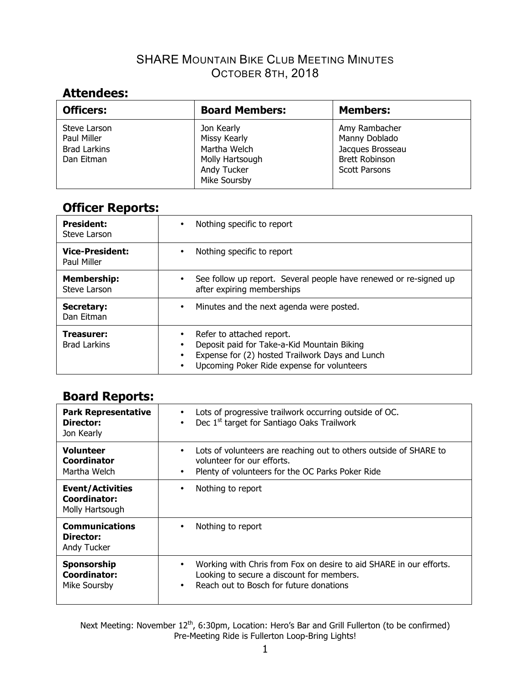# **Attendees:**

| <b>Officers:</b>            | <b>Board Members:</b>      | <b>Members:</b>                |
|-----------------------------|----------------------------|--------------------------------|
| Steve Larson<br>Paul Miller | Jon Kearly<br>Missy Kearly | Amy Rambacher<br>Manny Doblado |
| <b>Brad Larkins</b>         | Martha Welch               | Jacques Brosseau               |
| Dan Eitman                  | Molly Hartsough            | <b>Brett Robinson</b>          |
|                             | Andy Tucker                | <b>Scott Parsons</b>           |
|                             | Mike Soursby               |                                |

## **Officer Reports:**

| <b>President:</b>                 | Nothing specific to report                                                                                                                                                                       |
|-----------------------------------|--------------------------------------------------------------------------------------------------------------------------------------------------------------------------------------------------|
| Steve Larson                      | ٠                                                                                                                                                                                                |
| <b>Vice-President:</b>            | Nothing specific to report                                                                                                                                                                       |
| Paul Miller                       | $\bullet$                                                                                                                                                                                        |
| <b>Membership:</b>                | See follow up report. Several people have renewed or re-signed up                                                                                                                                |
| Steve Larson                      | after expiring memberships                                                                                                                                                                       |
| Secretary:                        | Minutes and the next agenda were posted.                                                                                                                                                         |
| Dan Eitman                        | ٠                                                                                                                                                                                                |
| Treasurer:<br><b>Brad Larkins</b> | Refer to attached report.<br>Deposit paid for Take-a-Kid Mountain Biking<br>٠<br>Expense for (2) hosted Trailwork Days and Lunch<br>٠<br>Upcoming Poker Ride expense for volunteers<br>$\bullet$ |

## **Board Reports:**

| <b>Park Representative</b><br>Director:<br>Jon Kearly      | Lots of progressive trailwork occurring outside of OC.<br>Dec 1 <sup>st</sup> target for Santiago Oaks Trailwork<br>$\bullet$                                                 |
|------------------------------------------------------------|-------------------------------------------------------------------------------------------------------------------------------------------------------------------------------|
| <b>Volunteer</b><br>Coordinator<br>Martha Welch            | Lots of volunteers are reaching out to others outside of SHARE to<br>$\bullet$<br>volunteer for our efforts.<br>Plenty of volunteers for the OC Parks Poker Ride<br>$\bullet$ |
| <b>Event/Activities</b><br>Coordinator:<br>Molly Hartsough | Nothing to report<br>٠                                                                                                                                                        |
| <b>Communications</b><br>Director:<br>Andy Tucker          | Nothing to report<br>٠                                                                                                                                                        |
| Sponsorship<br><b>Coordinator:</b><br>Mike Soursby         | Working with Chris from Fox on desire to aid SHARE in our efforts.<br>٠<br>Looking to secure a discount for members.<br>Reach out to Bosch for future donations<br>$\bullet$  |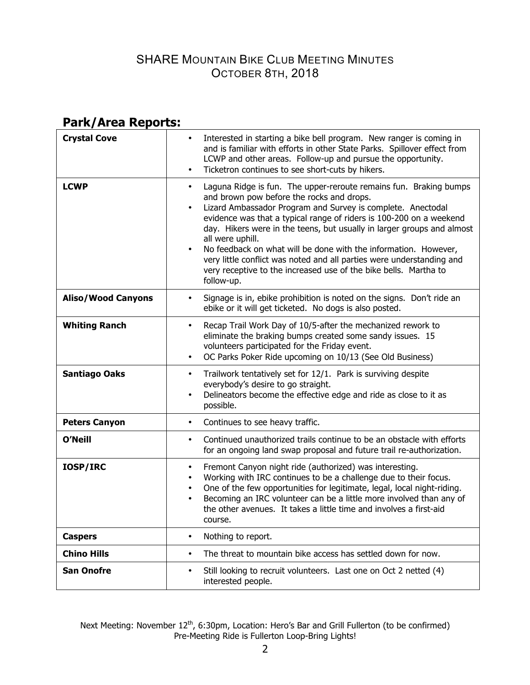# **Park/Area Reports:**

| <b>Crystal Cove</b>       | Interested in starting a bike bell program. New ranger is coming in<br>$\bullet$<br>and is familiar with efforts in other State Parks. Spillover effect from<br>LCWP and other areas. Follow-up and pursue the opportunity.<br>Ticketron continues to see short-cuts by hikers.<br>$\bullet$                                                                                                                                                                                                                                                                                                                    |
|---------------------------|-----------------------------------------------------------------------------------------------------------------------------------------------------------------------------------------------------------------------------------------------------------------------------------------------------------------------------------------------------------------------------------------------------------------------------------------------------------------------------------------------------------------------------------------------------------------------------------------------------------------|
| <b>LCWP</b>               | Laguna Ridge is fun. The upper-reroute remains fun. Braking bumps<br>٠<br>and brown pow before the rocks and drops.<br>Lizard Ambassador Program and Survey is complete. Anectodal<br>$\bullet$<br>evidence was that a typical range of riders is 100-200 on a weekend<br>day. Hikers were in the teens, but usually in larger groups and almost<br>all were uphill.<br>No feedback on what will be done with the information. However,<br>$\bullet$<br>very little conflict was noted and all parties were understanding and<br>very receptive to the increased use of the bike bells. Martha to<br>follow-up. |
| <b>Aliso/Wood Canyons</b> | Signage is in, ebike prohibition is noted on the signs. Don't ride an<br>$\bullet$<br>ebike or it will get ticketed. No dogs is also posted.                                                                                                                                                                                                                                                                                                                                                                                                                                                                    |
| <b>Whiting Ranch</b>      | Recap Trail Work Day of 10/5-after the mechanized rework to<br>$\bullet$<br>eliminate the braking bumps created some sandy issues. 15<br>volunteers participated for the Friday event.<br>OC Parks Poker Ride upcoming on 10/13 (See Old Business)<br>$\bullet$                                                                                                                                                                                                                                                                                                                                                 |
| <b>Santiago Oaks</b>      | Trailwork tentatively set for 12/1. Park is surviving despite<br>$\bullet$<br>everybody's desire to go straight.<br>Delineators become the effective edge and ride as close to it as<br>$\bullet$<br>possible.                                                                                                                                                                                                                                                                                                                                                                                                  |
| <b>Peters Canyon</b>      | Continues to see heavy traffic.<br>$\bullet$                                                                                                                                                                                                                                                                                                                                                                                                                                                                                                                                                                    |
| <b>O'Neill</b>            | Continued unauthorized trails continue to be an obstacle with efforts<br>$\bullet$<br>for an ongoing land swap proposal and future trail re-authorization.                                                                                                                                                                                                                                                                                                                                                                                                                                                      |
| IOSP/IRC                  | Fremont Canyon night ride (authorized) was interesting.<br>$\bullet$<br>Working with IRC continues to be a challenge due to their focus.<br>$\bullet$<br>One of the few opportunities for legitimate, legal, local night-riding.<br>$\bullet$<br>Becoming an IRC volunteer can be a little more involved than any of<br>the other avenues. It takes a little time and involves a first-aid<br>course.                                                                                                                                                                                                           |
| <b>Caspers</b>            | Nothing to report.<br>$\bullet$                                                                                                                                                                                                                                                                                                                                                                                                                                                                                                                                                                                 |
| <b>Chino Hills</b>        | The threat to mountain bike access has settled down for now.<br>$\bullet$                                                                                                                                                                                                                                                                                                                                                                                                                                                                                                                                       |
| <b>San Onofre</b>         | Still looking to recruit volunteers. Last one on Oct 2 netted (4)<br>$\bullet$<br>interested people.                                                                                                                                                                                                                                                                                                                                                                                                                                                                                                            |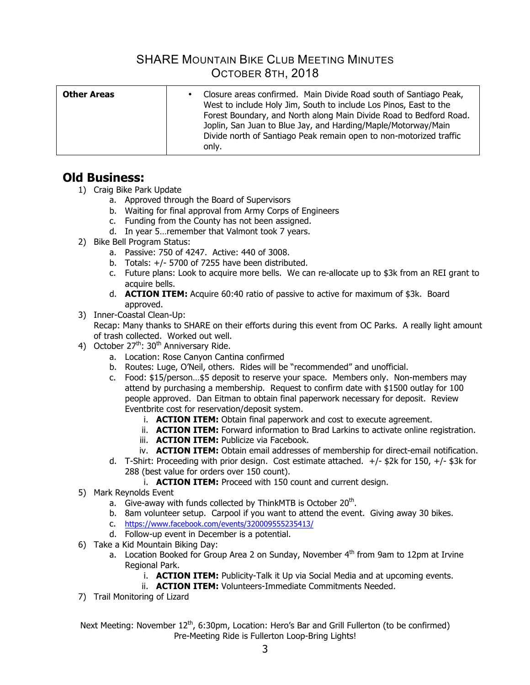| <b>Other Areas</b> | Closure areas confirmed. Main Divide Road south of Santiago Peak,<br>$\bullet$<br>West to include Holy Jim, South to include Los Pinos, East to the<br>Forest Boundary, and North along Main Divide Road to Bedford Road.<br>Joplin, San Juan to Blue Jay, and Harding/Maple/Motorway/Main<br>Divide north of Santiago Peak remain open to non-motorized traffic<br>only. |
|--------------------|---------------------------------------------------------------------------------------------------------------------------------------------------------------------------------------------------------------------------------------------------------------------------------------------------------------------------------------------------------------------------|

### **Old Business:**

- 1) Craig Bike Park Update
	- a. Approved through the Board of Supervisors
	- b. Waiting for final approval from Army Corps of Engineers
	- c. Funding from the County has not been assigned.
	- d. In year 5…remember that Valmont took 7 years.
- 2) Bike Bell Program Status:
	- a. Passive: 750 of 4247. Active: 440 of 3008.
	- b. Totals:  $+/-$  5700 of 7255 have been distributed.
	- c. Future plans: Look to acquire more bells. We can re-allocate up to \$3k from an REI grant to acquire bells.
	- d. **ACTION ITEM:** Acquire 60:40 ratio of passive to active for maximum of \$3k. Board approved.
- 3) Inner-Coastal Clean-Up:

Recap: Many thanks to SHARE on their efforts during this event from OC Parks. A really light amount of trash collected. Worked out well.

- 4) October  $27<sup>th</sup>$ : 30<sup>th</sup> Anniversary Ride.
	- a. Location: Rose Canyon Cantina confirmed
	- b. Routes: Luge, O'Neil, others. Rides will be "recommended" and unofficial.
	- c. Food: \$15/person…\$5 deposit to reserve your space. Members only. Non-members may attend by purchasing a membership. Request to confirm date with \$1500 outlay for 100 people approved. Dan Eitman to obtain final paperwork necessary for deposit. Review Eventbrite cost for reservation/deposit system.
		- i. **ACTION ITEM:** Obtain final paperwork and cost to execute agreement.
		- ii. **ACTION ITEM:** Forward information to Brad Larkins to activate online registration.
		- iii. **ACTION ITEM:** Publicize via Facebook.
		- iv. **ACTION ITEM:** Obtain email addresses of membership for direct-email notification.
	- d. T-Shirt: Proceeding with prior design. Cost estimate attached.  $+/-$  \$2k for 150,  $+/-$  \$3k for 288 (best value for orders over 150 count).
		- i. **ACTION ITEM:** Proceed with 150 count and current design.
- 5) Mark Reynolds Event
	- a. Give-away with funds collected by ThinkMTB is October  $20<sup>th</sup>$ .
	- b. 8am volunteer setup. Carpool if you want to attend the event. Giving away 30 bikes.
	- c. https://www.facebook.com/events/320009555235413/
	- d. Follow-up event in December is a potential.
- 6) Take a Kid Mountain Biking Day:
	- a. Location Booked for Group Area 2 on Sunday, November  $4<sup>th</sup>$  from 9am to 12pm at Irvine Regional Park.
		- i. **ACTION ITEM:** Publicity-Talk it Up via Social Media and at upcoming events.
		- ii. **ACTION ITEM:** Volunteers-Immediate Commitments Needed.
- 7) Trail Monitoring of Lizard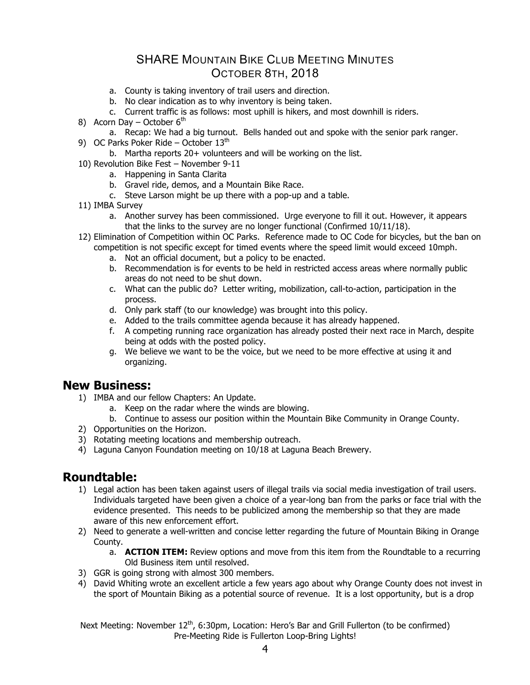- a. County is taking inventory of trail users and direction.
- b. No clear indication as to why inventory is being taken.
- c. Current traffic is as follows: most uphill is hikers, and most downhill is riders.
- 8) Acorn Day October  $6<sup>th</sup>$ 
	- a. Recap: We had a big turnout. Bells handed out and spoke with the senior park ranger.
- 9) OC Parks Poker Ride October  $13<sup>th</sup>$ 
	- b. Martha reports 20+ volunteers and will be working on the list.
- 10) Revolution Bike Fest November 9-11
	- a. Happening in Santa Clarita
	- b. Gravel ride, demos, and a Mountain Bike Race.
	- c. Steve Larson might be up there with a pop-up and a table.
- 11) IMBA Survey
	- a. Another survey has been commissioned. Urge everyone to fill it out. However, it appears that the links to the survey are no longer functional (Confirmed 10/11/18).
- 12) Elimination of Competition within OC Parks. Reference made to OC Code for bicycles, but the ban on competition is not specific except for timed events where the speed limit would exceed 10mph.
	- a. Not an official document, but a policy to be enacted.
	- b. Recommendation is for events to be held in restricted access areas where normally public areas do not need to be shut down.
	- c. What can the public do? Letter writing, mobilization, call-to-action, participation in the process.
	- d. Only park staff (to our knowledge) was brought into this policy.
	- e. Added to the trails committee agenda because it has already happened.
	- f. A competing running race organization has already posted their next race in March, despite being at odds with the posted policy.
	- g. We believe we want to be the voice, but we need to be more effective at using it and organizing.

#### **New Business:**

- 1) IMBA and our fellow Chapters: An Update.
	- a. Keep on the radar where the winds are blowing.
	- b. Continue to assess our position within the Mountain Bike Community in Orange County.
- 2) Opportunities on the Horizon.
- 3) Rotating meeting locations and membership outreach.
- 4) Laguna Canyon Foundation meeting on 10/18 at Laguna Beach Brewery.

#### **Roundtable:**

- 1) Legal action has been taken against users of illegal trails via social media investigation of trail users. Individuals targeted have been given a choice of a year-long ban from the parks or face trial with the evidence presented. This needs to be publicized among the membership so that they are made aware of this new enforcement effort.
- 2) Need to generate a well-written and concise letter regarding the future of Mountain Biking in Orange County.
	- a. **ACTION ITEM:** Review options and move from this item from the Roundtable to a recurring Old Business item until resolved.
- 3) GGR is going strong with almost 300 members.
- 4) David Whiting wrote an excellent article a few years ago about why Orange County does not invest in the sport of Mountain Biking as a potential source of revenue. It is a lost opportunity, but is a drop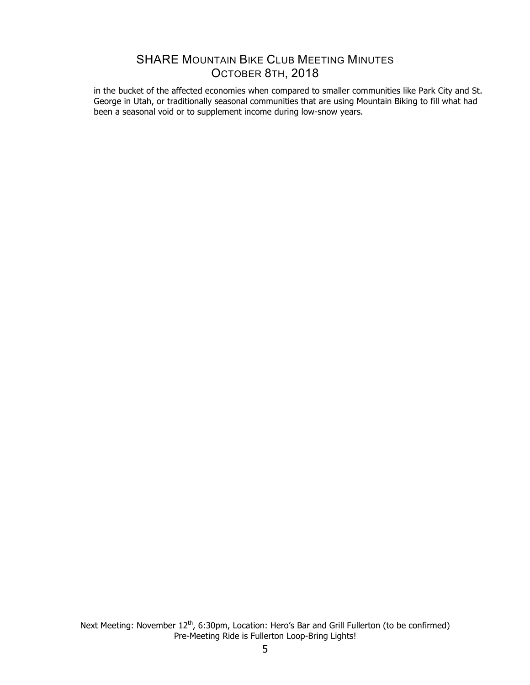in the bucket of the affected economies when compared to smaller communities like Park City and St. George in Utah, or traditionally seasonal communities that are using Mountain Biking to fill what had been a seasonal void or to supplement income during low-snow years.